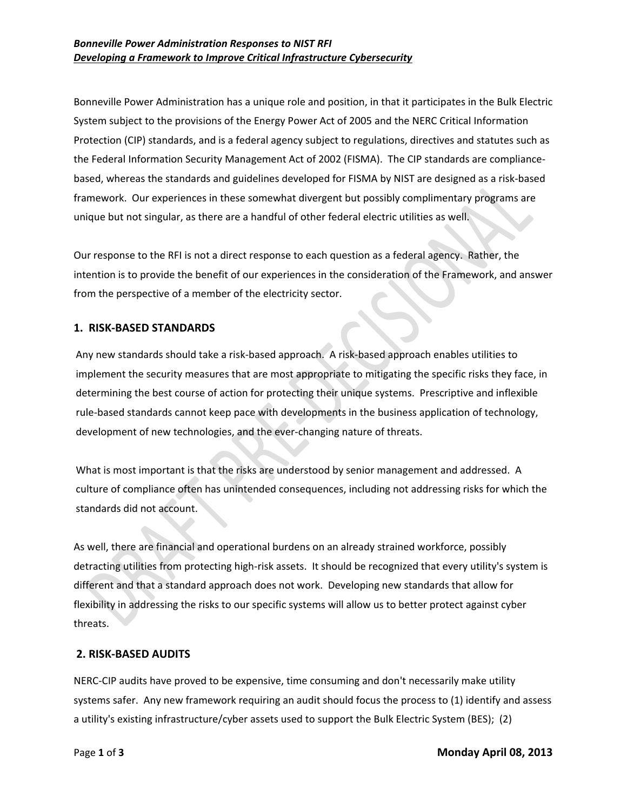Bonneville Power Administration has a unique role and position, in that it participates in the Bulk Electric System subject to the provisions of the Energy Power Act of 2005 and the NERC Critical Information Protection (CIP) standards, and is a federal agency subject to regulations, directives and statutes such as the Federal Information Security Management Act of 2002 (FISMA). The CIP standards are compliancebased, whereas the standards and guidelines developed for FISMA by NIST are designed as a risk-based framework. Our experiences in these somewhat divergent but possibly complimentary programs are unique but not singular, as there are a handful of other federal electric utilities as well.

Our response to the RFI is not a direct response to each question as a federal agency. Rather, the intention is to provide the benefit of our experiences in the consideration of the Framework, and answer from the perspective of a member of the electricity sector.

#### **1. RISK-BASED STANDARDS**

Any new standards should take a risk-based approach. A risk-based approach enables utilities to implement the security measures that are most appropriate to mitigating the specific risks they face, in determining the best course of action for protecting their unique systems. Prescriptive and inflexible rule-based standards cannot keep pace with developments in the business application of technology, development of new technologies, and the ever-changing nature of threats.

What is most important is that the risks are understood by senior management and addressed. A culture of compliance often has unintended consequences, including not addressing risks for which the standards did not account.

As well, there are financial and operational burdens on an already strained workforce, possibly detracting utilities from protecting high-risk assets. It should be recognized that every utility's system is different and that a standard approach does not work. Developing new standards that allow for flexibility in addressing the risks to our specific systems will allow us to better protect against cyber threats.

#### **2. RISK-BASED AUDITS**

NERC-CIP audits have proved to be expensive, time consuming and don't necessarily make utility systems safer. Any new framework requiring an audit should focus the process to (1) identify and assess a utility's existing infrastructure/cyber assets used to support the Bulk Electric System (BES); (2)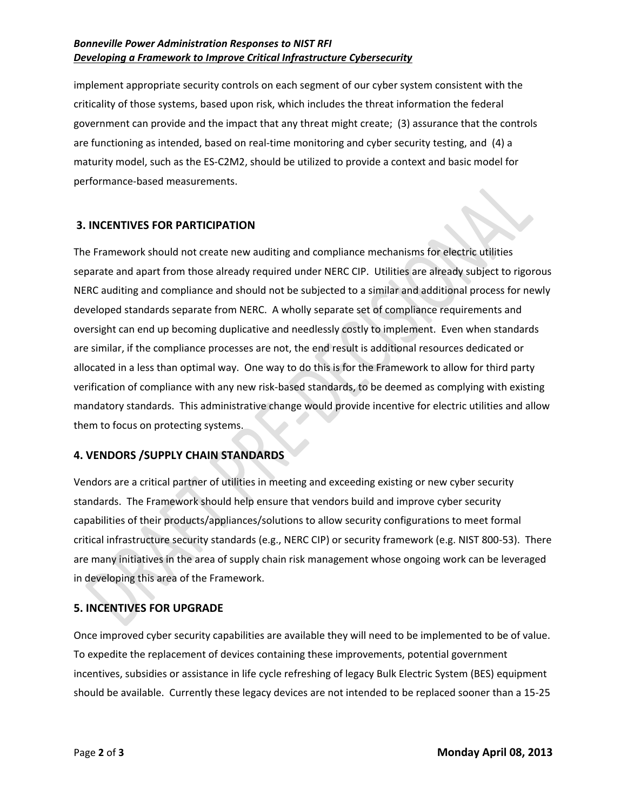### *Bonneville Power Administration Responses to NIST RFI Developing a Framework to Improve Critical Infrastructure Cybersecurity*

implement appropriate security controls on each segment of our cyber system consistent with the criticality of those systems, based upon risk, which includes the threat information the federal government can provide and the impact that any threat might create; (3) assurance that the controls are functioning as intended, based on real-time monitoring and cyber security testing, and (4) a maturity model, such as the ES-C2M2, should be utilized to provide a context and basic model for performance-based measurements.

# **3. INCENTIVES FOR PARTICIPATION**

The Framework should not create new auditing and compliance mechanisms for electric utilities separate and apart from those already required under NERC CIP. Utilities are already subject to rigorous NERC auditing and compliance and should not be subjected to a similar and additional process for newly developed standards separate from NERC. A wholly separate set of compliance requirements and oversight can end up becoming duplicative and needlessly costly to implement. Even when standards are similar, if the compliance processes are not, the end result is additional resources dedicated or allocated in a less than optimal way. One way to do this is for the Framework to allow for third party verification of compliance with any new risk-based standards, to be deemed as complying with existing mandatory standards. This administrative change would provide incentive for electric utilities and allow them to focus on protecting systems.

# **4. VENDORS /SUPPLY CHAIN STANDARDS**

Vendors are a critical partner of utilities in meeting and exceeding existing or new cyber security standards. The Framework should help ensure that vendors build and improve cyber security capabilities of their products/appliances/solutions to allow security configurations to meet formal critical infrastructure security standards (e.g., NERC CIP) or security framework (e.g. NIST 800-53). There are many initiatives in the area of supply chain risk management whose ongoing work can be leveraged in developing this area of the Framework.

# **5. INCENTIVES FOR UPGRADE**

Once improved cyber security capabilities are available they will need to be implemented to be of value. To expedite the replacement of devices containing these improvements, potential government incentives, subsidies or assistance in life cycle refreshing of legacy Bulk Electric System (BES) equipment should be available. Currently these legacy devices are not intended to be replaced sooner than a 15-25